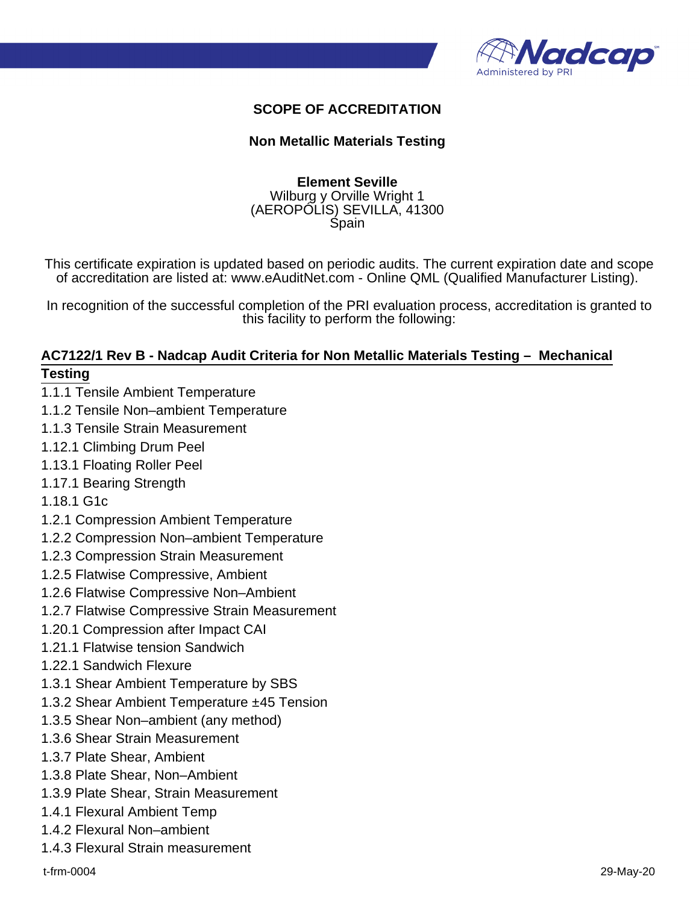

#### **SCOPE OF ACCREDITATION**

#### **Non Metallic Materials Testing**

#### **Element Seville** Wilburg y Orville Wright 1 (AEROPÓLIS) SEVILLA, 41300 Spain

This certificate expiration is updated based on periodic audits. The current expiration date and scope of accreditation are listed at: www.eAuditNet.com - Online QML (Qualified Manufacturer Listing).

In recognition of the successful completion of the PRI evaluation process, accreditation is granted to this facility to perform the following:

# **AC7122/1 Rev B - Nadcap Audit Criteria for Non Metallic Materials Testing – Mechanical**

#### **Testing**

- 1.1.1 Tensile Ambient Temperature
- 1.1.2 Tensile Non–ambient Temperature
- 1.1.3 Tensile Strain Measurement
- 1.12.1 Climbing Drum Peel
- 1.13.1 Floating Roller Peel
- 1.17.1 Bearing Strength
- 1.18.1 G1c
- 1.2.1 Compression Ambient Temperature
- 1.2.2 Compression Non–ambient Temperature
- 1.2.3 Compression Strain Measurement
- 1.2.5 Flatwise Compressive, Ambient
- 1.2.6 Flatwise Compressive Non–Ambient
- 1.2.7 Flatwise Compressive Strain Measurement
- 1.20.1 Compression after Impact CAI
- 1.21.1 Flatwise tension Sandwich
- 1.22.1 Sandwich Flexure
- 1.3.1 Shear Ambient Temperature by SBS
- 1.3.2 Shear Ambient Temperature ±45 Tension
- 1.3.5 Shear Non–ambient (any method)
- 1.3.6 Shear Strain Measurement
- 1.3.7 Plate Shear, Ambient
- 1.3.8 Plate Shear, Non–Ambient
- 1.3.9 Plate Shear, Strain Measurement
- 1.4.1 Flexural Ambient Temp
- 1.4.2 Flexural Non–ambient
- 1.4.3 Flexural Strain measurement